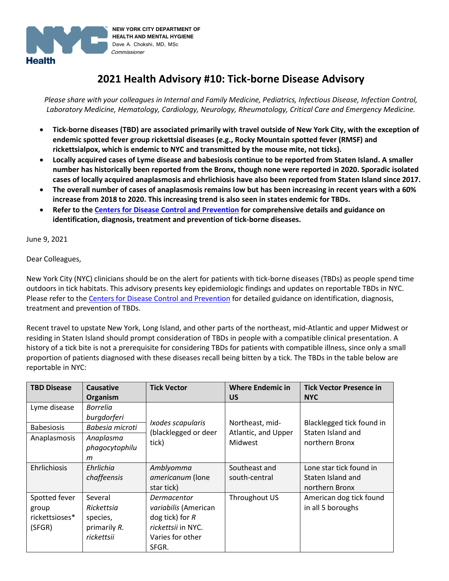

# **2021 Health Advisory #10: Tick-borne Disease Advisory**

*Please share with your colleagues in Internal and Family Medicine, Pediatrics, Infectious Disease, Infection Control, Laboratory Medicine, Hematology, Cardiology, Neurology, Rheumatology, Critical Care and Emergency Medicine.*

- **Tick-borne diseases (TBD) are associated primarily with travel outside of New York City, with the exception of endemic spotted fever group rickettsial diseases (e.g., Rocky Mountain spotted fever (RMSF) and rickettsialpox, which is endemic to NYC and transmitted by the mouse mite, not ticks).**
- **Locally acquired cases of Lyme disease and babesiosis continue to be reported from Staten Island. A smaller number has historically been reported from the Bronx, though none were reported in 2020. Sporadic isolated cases of locally acquired anaplasmosis and ehrlichiosis have also been reported from Staten Island since 2017.**
- **The overall number of cases of anaplasmosis remains low but has been increasing in recent years with a 60% increase from 2018 to 2020. This increasing trend is also seen in states endemic for TBDs.**
- **Refer to the [Centers for Disease Control and Prevention](https://www.cdc.gov/ticks/tickbornediseases/index.html) for comprehensive details and guidance on identification, diagnosis, treatment and prevention of tick-borne diseases.**

June 9, 2021

Dear Colleagues,

New York City (NYC) clinicians should be on the alert for patients with tick-borne diseases (TBDs) as people spend time outdoors in tick habitats. This advisory presents key epidemiologic findings and updates on reportable TBDs in NYC. Please refer to the [Centers for Disease Control and Prevention](https://www.cdc.gov/ticks/tickbornediseases/index.html) for detailed guidance on identification, diagnosis, treatment and prevention of TBDs.

Recent travel to upstate New York, Long Island, and other parts of the northeast, mid-Atlantic and upper Midwest or residing in Staten Island should prompt consideration of TBDs in people with a compatible clinical presentation. A history of a tick bite is not a prerequisite for considering TBDs for patients with compatible illness, since only a small proportion of patients diagnosed with these diseases recall being bitten by a tick. The TBDs in the table below are reportable in NYC:

| <b>TBD Disease</b> | <b>Causative</b> | <b>Tick Vector</b>   | <b>Where Endemic in</b> | <b>Tick Vector Presence in</b> |
|--------------------|------------------|----------------------|-------------------------|--------------------------------|
|                    | Organism         |                      | <b>US</b>               | <b>NYC</b>                     |
| Lyme disease       | <b>Borrelia</b>  |                      |                         |                                |
|                    | burgdorferi      | Ixodes scapularis    | Northeast, mid-         | Blacklegged tick found in      |
| <b>Babesiosis</b>  | Babesia microti  | (blacklegged or deer | Atlantic, and Upper     | Staten Island and              |
| Anaplasmosis       | Anaplasma        | tick)                | <b>Midwest</b>          | northern Bronx                 |
|                    | phagocytophilu   |                      |                         |                                |
|                    | m                |                      |                         |                                |
| Ehrlichiosis       | Ehrlichia        | Amblyomma            | Southeast and           | Lone star tick found in        |
|                    | chaffeensis      | americanum (lone     | south-central           | Staten Island and              |
|                    |                  | star tick)           |                         | northern Bronx                 |
| Spotted fever      | Several          | Dermacentor          | Throughout US           | American dog tick found        |
| group              | Rickettsia       | variabilis (American |                         | in all 5 boroughs              |
| rickettsioses*     | species,         | dog tick) for $R$    |                         |                                |
| (SFGR)             | primarily R.     | rickettsii in NYC.   |                         |                                |
|                    | rickettsii       | Varies for other     |                         |                                |
|                    |                  | SFGR.                |                         |                                |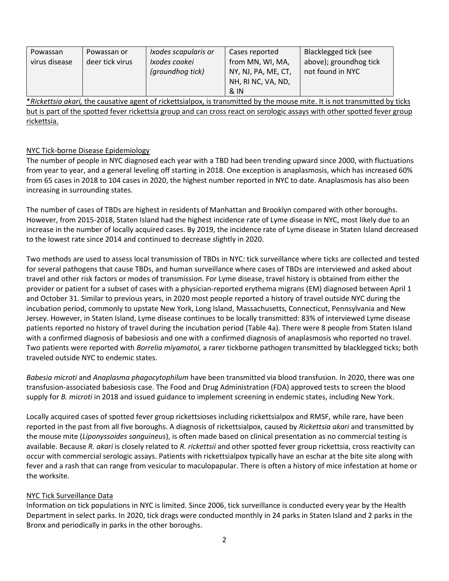| Powassan      | Powassan or     | Ixodes scapularis or | Cases reported      | Blacklegged tick (see  |
|---------------|-----------------|----------------------|---------------------|------------------------|
| virus disease | deer tick virus | Ixodes cookei        | from MN, WI, MA,    | above); groundhog tick |
|               |                 | (groundhog tick)     | NY, NJ, PA, ME, CT, | not found in NYC       |
|               |                 |                      | NH, RI NC, VA, ND,  |                        |
|               |                 |                      | 8N                  |                        |

\**Rickettsia akari,* the causative agent of rickettsialpox, is transmitted by the mouse mite. It is not transmitted by ticks but is part of the spotted fever rickettsia group and can cross react on serologic assays with other spotted fever group rickettsia.

#### NYC Tick-borne Disease Epidemiology

The number of people in NYC diagnosed each year with a TBD had been trending upward since 2000, with fluctuations from year to year, and a general leveling off starting in 2018. One exception is anaplasmosis, which has increased 60% from 65 cases in 2018 to 104 cases in 2020, the highest number reported in NYC to date. Anaplasmosis has also been increasing in surrounding states.

The number of cases of TBDs are highest in residents of Manhattan and Brooklyn compared with other boroughs. However, from 2015-2018, Staten Island had the highest incidence rate of Lyme disease in NYC, most likely due to an increase in the number of locally acquired cases. By 2019, the incidence rate of Lyme disease in Staten Island decreased to the lowest rate since 2014 and continued to decrease slightly in 2020.

Two methods are used to assess local transmission of TBDs in NYC: tick surveillance where ticks are collected and tested for several pathogens that cause TBDs, and human surveillance where cases of TBDs are interviewed and asked about travel and other risk factors or modes of transmission. For Lyme disease, travel history is obtained from either the provider or patient for a subset of cases with a physician-reported erythema migrans (EM) diagnosed between April 1 and October 31. Similar to previous years, in 2020 most people reported a history of travel outside NYC during the incubation period, commonly to upstate New York, Long Island, Massachusetts, Connecticut, Pennsylvania and New Jersey. However, in Staten Island, Lyme disease continues to be locally transmitted: 83% of interviewed Lyme disease patients reported no history of travel during the incubation period (Table 4a). There were 8 people from Staten Island with a confirmed diagnosis of babesiosis and one with a confirmed diagnosis of anaplasmosis who reported no travel. Two patients were reported with *Borrelia miyamotoi,* a rarer tickborne pathogen transmitted by blacklegged ticks; both traveled outside NYC to endemic states.

*Babesia microti* and *Anaplasma phagocytophilum* have been transmitted via blood transfusion. In 2020, there was one transfusion-associated babesiosis case. The Food and Drug Administration (FDA) approved tests to screen the blood supply for *B. microti* in 2018 and issued guidance to implement screening in endemic states, including New York.

Locally acquired cases of spotted fever group rickettsioses including rickettsialpox and RMSF, while rare, have been reported in the past from all five boroughs. A diagnosis of rickettsialpox, caused by *Rickettsia akari* and transmitted by the mouse mite (*Liponyssoides sanguineus*), is often made based on clinical presentation as no commercial testing is available. Because *R. akari* is closely related to *R. rickettsii* and other spotted fever group rickettsia, cross reactivity can occur with commercial serologic assays. Patients with rickettsialpox typically have an eschar at the bite site along with fever and a rash that can range from vesicular to maculopapular. There is often a history of mice infestation at home or the worksite.

#### NYC Tick Surveillance Data

Information on tick populations in NYC is limited. Since 2006, tick surveillance is conducted every year by the Health Department in select parks. In 2020, tick drags were conducted monthly in 24 parks in Staten Island and 2 parks in the Bronx and periodically in parks in the other boroughs.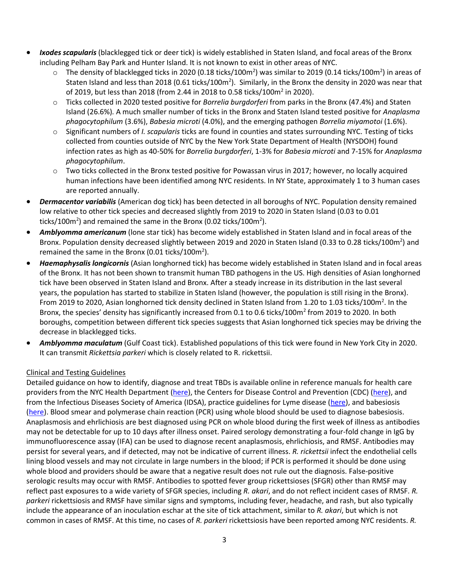- *Ixodes scapularis* (blacklegged tick or deer tick) is widely established in Staten Island, and focal areas of the Bronx including Pelham Bay Park and Hunter Island. It is not known to exist in other areas of NYC.
	- $\circ$  The density of blacklegged ticks in 2020 (0.18 ticks/100m<sup>2</sup>) was similar to 2019 (0.14 ticks/100m<sup>2</sup>) in areas of Staten Island and less than 2018 (0.61 ticks/100m<sup>2</sup>). Similarly, in the Bronx the density in 2020 was near that of 2019, but less than 2018 (from 2.44 in 2018 to 0.58 ticks/100m<sup>2</sup> in 2020).
	- o Ticks collected in 2020 tested positive for *Borrelia burgdorferi* from parks in the Bronx (47.4%) and Staten Island (26.6%)*.* A much smaller number of ticks in the Bronx and Staten Island tested positive for *Anaplasma phagocytophilum* (3.6%), *Babesia microti* (4.0%), and the emerging pathogen *Borrelia miyamotoi* (1.6%).
	- o Significant numbers of *I. scapularis* ticks are found in counties and states surrounding NYC. Testing of ticks collected from counties outside of NYC by the New York State Department of Health (NYSDOH) found infection rates as high as 40-50% for *Borrelia burgdorferi*, 1-3% for *Babesia microti* and 7-15% for *Anaplasma phagocytophilum*.
	- $\circ$  Two ticks collected in the Bronx tested positive for Powassan virus in 2017; however, no locally acquired human infections have been identified among NYC residents. In NY State, approximately 1 to 3 human cases are reported annually.
- *Dermacentor variabilis* (American dog tick) has been detected in all boroughs of NYC. Population density remained low relative to other tick species and decreased slightly from 2019 to 2020 in Staten Island (0.03 to 0.01 ticks/100m<sup>2</sup>) and remained the same in the Bronx (0.02 ticks/100m<sup>2</sup>).
- *Amblyomma americanum* (lone star tick) has become widely established in Staten Island and in focal areas of the Bronx. Population density decreased slightly between 2019 and 2020 in Staten Island (0.33 to 0.28 ticks/100m<sup>2</sup>) and remained the same in the Bronx (0.01 ticks/100m<sup>2</sup>).
- *Haemaphysalis longicornis* (Asian longhorned tick) has become widely established in Staten Island and in focal areas of the Bronx. It has not been shown to transmit human TBD pathogens in the US. High densities of Asian longhorned tick have been observed in Staten Island and Bronx. After a steady increase in its distribution in the last several years, the population has started to stabilize in Staten Island (however, the population is still rising in the Bronx). From 2019 to 2020, Asian longhorned tick density declined in Staten Island from 1.20 to 1.03 ticks/100m<sup>2</sup>. In the Bronx, the species' density has significantly increased from 0.1 to 0.6 ticks/100m<sup>2</sup> from 2019 to 2020. In both boroughs, competition between different tick species suggests that Asian longhorned tick species may be driving the decrease in blacklegged ticks.
- *Amblyomma maculatum* (Gulf Coast tick). Established populations of this tick were found in New York City in 2020. It can transmit *Rickettsia parkeri* which is closely related to R. rickettsii.

## Clinical and Testing Guidelines

Detailed guidance on how to identify, diagnose and treat TBDs is available online in reference manuals for health care providers from the NYC Health Department [\(here\)](https://www1.nyc.gov/assets/doh/downloads/pdf/ehs/tick-borne-dx-physician.pdf), the Centers for Disease Control and Prevention (CDC) [\(here\)](https://www.cdc.gov/ticks/tickbornediseases/index.html), and from the Infectious Diseases Society of America (IDSA), practice guidelines for Lyme disease [\(here\)](https://www.idsociety.org/practice-guideline/lyme-disease/), and babesiosis [\(here\)](https://www.idsociety.org/practice-guideline/babesiosis/). Blood smear and polymerase chain reaction (PCR) using whole blood should be used to diagnose babesiosis. Anaplasmosis and ehrlichiosis are best diagnosed using PCR on whole blood during the first week of illness as antibodies may not be detectable for up to 10 days after illness onset. Paired serology demonstrating a four-fold change in IgG by immunofluorescence assay (IFA) can be used to diagnose recent anaplasmosis, ehrlichiosis, and RMSF. Antibodies may persist for several years, and if detected, may not be indicative of current illness. *R. rickettsii* infect the endothelial cells lining blood vessels and may not circulate in large numbers in the blood; if PCR is performed it should be done using whole blood and providers should be aware that a negative result does not rule out the diagnosis. False-positive serologic results may occur with RMSF. Antibodies to spotted fever group rickettsioses (SFGR) other than RMSF may reflect past exposures to a wide variety of SFGR species, including *R. akari*, and do not reflect incident cases of RMSF. *R. parkeri* rickettsiosis and RMSF have similar signs and symptoms, including fever, headache, and rash, but also typically include the appearance of an inoculation eschar at the site of tick attachment, similar to *R. akari*, but which is not common in cases of RMSF. At this time, no cases of *R. parkeri* rickettsiosis have been reported among NYC residents. *R.*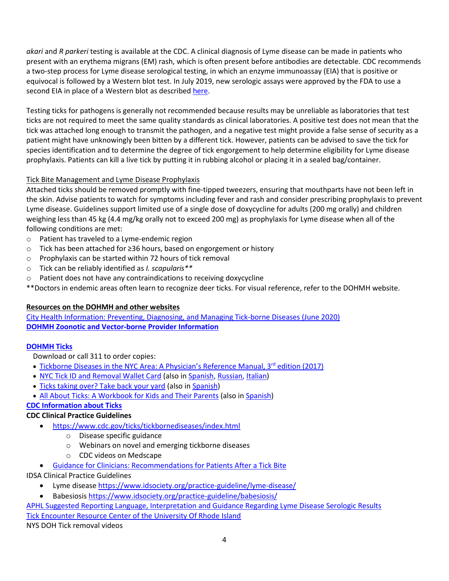*akari* and *R parkeri* testing is available at the CDC. A clinical diagnosis of Lyme disease can be made in patients who present with an erythema migrans (EM) rash, which is often present before antibodies are detectable. CDC recommends a two-step process for Lyme disease serological testing, in which an enzyme immunoassay (EIA) that is positive or equivocal is followed by a Western blot test. In July 2019, new serologic assays were approved by the FDA to use a second EIA in place of a Western blot as described [here.](https://www.cdc.gov/mmwr/volumes/68/wr/mm6832a4.htm?s_cid=mm6832a4_w)

Testing ticks for pathogens is generally not recommended because results may be unreliable as laboratories that test ticks are not required to meet the same quality standards as clinical laboratories. A positive test does not mean that the tick was attached long enough to transmit the pathogen, and a negative test might provide a false sense of security as a patient might have unknowingly been bitten by a different tick. However, patients can be advised to save the tick for species identification and to determine the degree of tick engorgement to help determine eligibility for Lyme disease prophylaxis. Patients can kill a live tick by putting it in rubbing alcohol or placing it in a sealed bag/container.

## Tick Bite Management and Lyme Disease Prophylaxis

Attached ticks should be removed promptly with fine-tipped tweezers, ensuring that mouthparts have not been left in the skin. Advise patients to watch for symptoms including fever and rash and consider prescribing prophylaxis to prevent Lyme disease. Guidelines support limited use of a single dose of doxycycline for adults (200 mg orally) and children weighing less than 45 kg (4.4 mg/kg orally not to exceed 200 mg) as prophylaxis for Lyme disease when all of the following conditions are met:

- o Patient has traveled to a Lyme-endemic region
- o Tick has been attached for ≥36 hours, based on engorgement or history
- o Prophylaxis can be started within 72 hours of tick removal
- o Tick can be reliably identified as *I. scapularis\*\**
- o Patient does not have any contraindications to receiving doxycycline
- \*\*Doctors in endemic areas often learn to recognize deer ticks. For visual reference, refer to the DOHMH website.

## **Resources on the DOHMH and other websites**

[City Health Information: Preventing, Diagnosing, and Managing Tick-borne Diseases \(June 2020\)](https://www1.nyc.gov/assets/doh/downloads/pdf/chi/chi-39-2.pdf) **DOHMH [Zoonotic and Vector-borne Provider Information](https://www1.nyc.gov/site/doh/providers/health-topics/zoonotic-and-vectorborne.page)**

## **[DOHMH Ticks](http://www1.nyc.gov/site/doh/health/health-topics/ticks.page)**

Download or call 311 to order copies:

- [Tickborne Diseases in the NYC Area:](https://www1.nyc.gov/assets/doh/downloads/pdf/ehs/tick-borne-dx-physician.pdf) A Physician's Reference Manual, 3<sup>rd</sup> edition (2017)
- [NYC Tick ID and Removal Wallet Card](https://www1.nyc.gov/assets/doh/downloads/pdf/zoo/nyc-tick-id-and-removal-card.pdf) (also in [Spanish,](https://www1.nyc.gov/assets/doh/downloads/pdf/zoo/nyc-tick-id-and-removal-card-sp.pdf) [Russian,](https://www1.nyc.gov/assets/doh/downloads/pdf/zoo/nyc-tick-id-and-removal-card-ru.pdf) [Italian\)](https://www1.nyc.gov/assets/doh/downloads/pdf/zoo/nyc-tick-id-and-removal-card-it.pdf)
- [Ticks taking over? Take back your yard](https://www1.nyc.gov/assets/doh/downloads/pdf/zoo/tick-yard-control.pdf) (also i[n Spanish\)](https://www1.nyc.gov/assets/doh/downloads/pdf/zoo/tick-yard-control-sp.pdf)
- [All About Ticks: A Workbook for Kids and Their Parents](https://www1.nyc.gov/assets/doh/downloads/pdf/zoo/tick-workbook.pdf) (also in [Spanish\)](https://www1.nyc.gov/assets/doh/downloads/pdf/zoo/tick-workbook-sp.pdf)

## **[CDC Information about Ticks](http://www.cdc.gov/ticks/index.html)**

## **CDC Clinical Practice Guidelines**

- <https://www.cdc.gov/ticks/tickbornediseases/index.html>
	- o Disease specific guidance
	- o Webinars on novel and emerging tickborne diseases
	- o CDC videos on Medscape
- [Guidance for Clinicians: Recommendations for Patients After a Tick Bite](https://www.cdc.gov/lyme/resources/FS-Guidance-for-Clinicians-Patients-after-TickBite-508.pdf)

## IDSA Clinical Practice Guidelines

- Lyme disease<https://www.idsociety.org/practice-guideline/lyme-disease/>
- Babesiosi[s https://www.idsociety.org/practice-guideline/babesiosis/](https://www.idsociety.org/practice-guideline/babesiosis/)

# [APHL Suggested Reporting Language, Interpretation and Guidance Regarding Lyme Disease Serologic Results](https://www.aphl.org/aboutAPHL/publications/Documents/ID-2021-Lyme-Disease-Serologic-Testing-Reporting.pdf) [Tick Encounter Resource Center of the University Of Rhode Island](http://www.tickencounter.org/)

NYS DOH Tick removal videos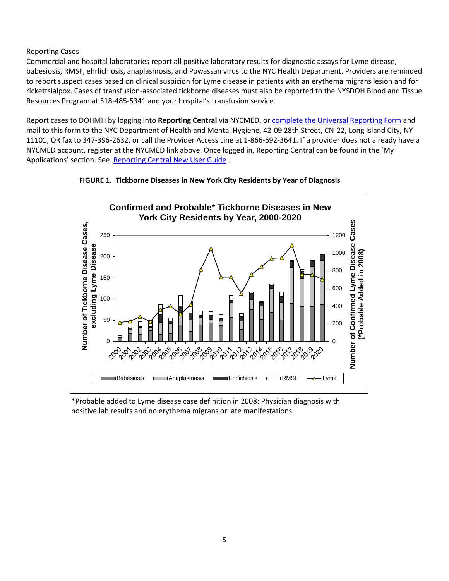#### Reporting Cases

Commercial and hospital laboratories report all positive laboratory results for diagnostic assays for Lyme disease, babesiosis, RMSF, ehrlichiosis, anaplasmosis, and Powassan virus to the NYC Health Department. Providers are reminded to report suspect cases based on clinical suspicion for Lyme disease in patients with an erythema migrans lesion and for rickettsialpox. Cases of transfusion-associated tickborne diseases must also be reported to the NYSDOH Blood and Tissue Resources Program at 518-485-5341 and your hospital's transfusion service.

Report cases to DOHMH by logging into **Reporting Central** via NYCMED, or [complete the Universal Reporting Form](https://www1.nyc.gov/assets/doh/downloads/pdf/hcp/urf-0803.pdf) and mail to this form to the NYC Department of Health and Mental Hygiene, 42-09 28th Street, CN-22, Long Island City, NY 11101, OR fax to 347-396-2632, or call the Provider Access Line at 1-866-692-3641. If a provider does not already have a NYCMED account, register at the NYCMED link above. Once logged in, Reporting Central can be found in the 'My Applications' section. See [Reporting Central New User Guide](http://www1.nyc.gov/assets/doh/downloads/pdf/hcp/reporting-central-new-user-guide.pdf) .





\*Probable added to Lyme disease case definition in 2008: Physician diagnosis with positive lab results and no erythema migrans or late manifestations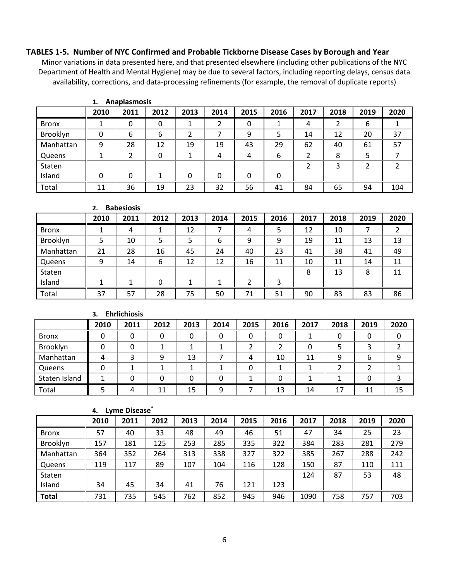#### **TABLES 1-5. Number of NYC Confirmed and Probable Tickborne Disease Cases by Borough and Year**

Minor variations in data presented here, and that presented elsewhere (including other publications of the NYC Department of Health and Mental Hygiene) may be due to several factors, including reporting delays, census data availability, corrections, and data-processing refinements (for example, the removal of duplicate reports)

|              | 2010 | 2011 | 2012 | 2013 | 2014 | 2015 | 2016 | 2017 | 2018 | 2019 | 2020 |
|--------------|------|------|------|------|------|------|------|------|------|------|------|
| <b>Bronx</b> |      |      |      |      | າ    | 0    |      | 4    |      | 6    |      |
| Brooklyn     |      | 6    | 6    |      |      | 9    |      | 14   | 12   | 20   | 37   |
| Manhattan    | 9    | 28   | 12   | 19   | 19   | 43   | 29   | 62   | 40   | 61   | 57   |
| Queens       |      |      | 0    |      | 4    | 4    | 6    |      | 8    |      |      |
| Staten       |      |      |      |      |      |      |      |      |      |      |      |
| Island       | ŋ    | O    |      | 0    | 0    | 0    | 0    |      |      |      |      |
| Total        | 11   | 36   | 19   | 23   | 32   | 56   | 41   | 84   | 65   | 94   | 104  |

**1. Anaplasmosis**

# **2. Babesiosis**

|              | 2010 | 2011 | 2012 | 2013 | 2014 | 2015 | 2016 | 2017 | 2018 | 2019 | 2020 |
|--------------|------|------|------|------|------|------|------|------|------|------|------|
| <b>Bronx</b> |      | 4    |      | 12   |      | 4    | 5    | 12   | 10   |      |      |
| Brooklyn     |      | 10   |      |      | 6    | 9    | 9    | 19   | 11   | 13   | 13   |
| Manhattan    | 21   | 28   | 16   | 45   | 24   | 40   | 23   | 41   | 38   | 41   | 49   |
| Queens       | 9    | 14   | 6    | 12   | 12   | 16   | 11   | 10   | 11   | 14   | 11   |
| Staten       |      |      |      |      |      |      |      | 8    | 13   | 8    | 11   |
| Island       |      |      | O    |      |      |      | 3    |      |      |      |      |
| Total        | 37   | 57   | 28   | 75   | 50   | 71   | 51   | 90   | 83   | 83   | 86   |

**3. Ehrlichiosis**

|               | 2010 | 2011 | 2012 | 2013 | 2014 | 2015 | 2016 | 2017 | 2018 | 2019 | 2020 |
|---------------|------|------|------|------|------|------|------|------|------|------|------|
| <b>Bronx</b>  |      |      |      |      |      | 0    |      |      |      |      |      |
| Brooklyn      |      |      |      |      |      |      |      | 0    |      |      |      |
| Manhattan     |      |      |      | 13   |      | 4    | 10   | 11   | 9    | b    | q    |
| Queens        |      |      |      |      |      | 0    |      |      |      |      |      |
| Staten Island |      |      |      |      |      |      |      |      |      |      |      |
| Total         |      |      |      | 15   | q    |      | 13   | 14   | 17   | 11   |      |

**4. Lyme Disease\***

|              | 2010 | 2011 | 2012 | 2013 | 2014 | 2015 | 2016 | 2017 | 2018 | 2019 | 2020 |
|--------------|------|------|------|------|------|------|------|------|------|------|------|
| <b>Bronx</b> | 57   | 40   | 33   | 48   | 49   | 46   | 51   | 47   | 34   | 25   | 23   |
| Brooklyn     | 157  | 181  | 125  | 253  | 285  | 335  | 322  | 384  | 283  | 281  | 279  |
| Manhattan    | 364  | 352  | 264  | 313  | 338  | 327  | 322  | 385  | 267  | 288  | 242  |
| Queens       | 119  | 117  | 89   | 107  | 104  | 116  | 128  | 150  | 87   | 110  | 111  |
| Staten       |      |      |      |      |      |      |      | 124  | 87   | 53   | 48   |
| Island       | 34   | 45   | 34   | 41   | 76   | 121  | 123  |      |      |      |      |
| <b>Total</b> | 731  | 735  | 545  | 762  | 852  | 945  | 946  | 1090 | 758  | 757  | 703  |